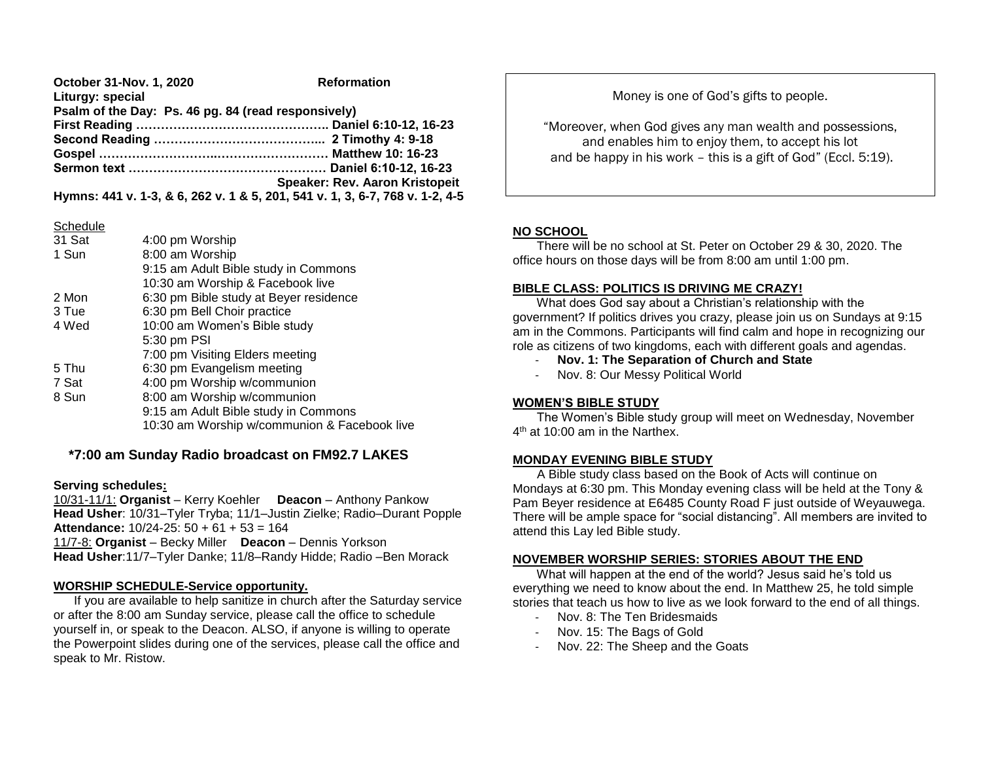| October 31-Nov. 1, 2020                             | <b>Reformation</b>                                                           |
|-----------------------------------------------------|------------------------------------------------------------------------------|
| Liturgy: special                                    |                                                                              |
| Psalm of the Day: Ps. 46 pg. 84 (read responsively) |                                                                              |
|                                                     |                                                                              |
|                                                     |                                                                              |
|                                                     |                                                                              |
|                                                     |                                                                              |
|                                                     | Speaker: Rev. Aaron Kristopeit                                               |
|                                                     | Hymns: 441 v. 1-3, & 6, 262 v. 1 & 5, 201, 541 v. 1, 3, 6-7, 768 v. 1-2, 4-5 |

### **Schedule**

| 31 Sat | 4:00 pm Worship                              |
|--------|----------------------------------------------|
| 1 Sun  | 8:00 am Worship                              |
|        | 9:15 am Adult Bible study in Commons         |
|        | 10:30 am Worship & Facebook live             |
| 2 Mon  | 6:30 pm Bible study at Beyer residence       |
| 3 Tue  | 6:30 pm Bell Choir practice                  |
| 4 Wed  | 10:00 am Women's Bible study                 |
|        | 5:30 pm PSI                                  |
|        | 7:00 pm Visiting Elders meeting              |
| 5 Thu  | 6:30 pm Evangelism meeting                   |
| 7 Sat  | 4:00 pm Worship w/communion                  |
| 8 Sun  | 8:00 am Worship w/communion                  |
|        | 9:15 am Adult Bible study in Commons         |
|        | 10:30 am Worship w/communion & Facebook live |
|        |                                              |

# **\*7:00 am Sunday Radio broadcast on FM92.7 LAKES**

## **Serving schedules:**

10/31-11/1: **Organist** – Kerry Koehler **Deacon** – Anthony Pankow **Head Usher**: 10/31–Tyler Tryba; 11/1–Justin Zielke; Radio–Durant Popple **Attendance:** 10/24-25: 50 + 61 + 53 = 164 11/7-8: **Organist** – Becky Miller **Deacon** – Dennis Yorkson **Head Usher**:11/7–Tyler Danke; 11/8–Randy Hidde; Radio –Ben Morack

## **WORSHIP SCHEDULE-Service opportunity.**

 If you are available to help sanitize in church after the Saturday service or after the 8:00 am Sunday service, please call the office to schedule yourself in, or speak to the Deacon. ALSO, if anyone is willing to operate the Powerpoint slides during one of the services, please call the office and speak to Mr. Ristow.

Money is one of God's gifts to people.

"Moreover, when God gives any man wealth and possessions, and enables him to enjoy them, to accept his lot and be happy in his work – this is a gift of God" (Eccl. 5:19).

## **NO SCHOOL**

 There will be no school at St. Peter on October 29 & 30, 2020. The office hours on those days will be from 8:00 am until 1:00 pm.

## **BIBLE CLASS: POLITICS IS DRIVING ME CRAZY!**

 What does God say about a Christian's relationship with the government? If politics drives you crazy, please join us on Sundays at 9:15 am in the Commons. Participants will find calm and hope in recognizing our role as citizens of two kingdoms, each with different goals and agendas.

- **Nov. 1: The Separation of Church and State**
- Nov. 8: Our Messy Political World

## **WOMEN'S BIBLE STUDY**

 The Women's Bible study group will meet on Wednesday, November 4<sup>th</sup> at 10:00 am in the Narthex.

## **MONDAY EVENING BIBLE STUDY**

 A Bible study class based on the Book of Acts will continue on Mondays at 6:30 pm. This Monday evening class will be held at the Tony & Pam Beyer residence at E6485 County Road F just outside of Weyauwega. There will be ample space for "social distancing". All members are invited to attend this Lay led Bible study.

## **NOVEMBER WORSHIP SERIES: STORIES ABOUT THE END**

 What will happen at the end of the world? Jesus said he's told us everything we need to know about the end. In Matthew 25, he told simple stories that teach us how to live as we look forward to the end of all things.

- Nov. 8: The Ten Bridesmaids
- Nov. 15: The Bags of Gold
- Nov. 22: The Sheep and the Goats